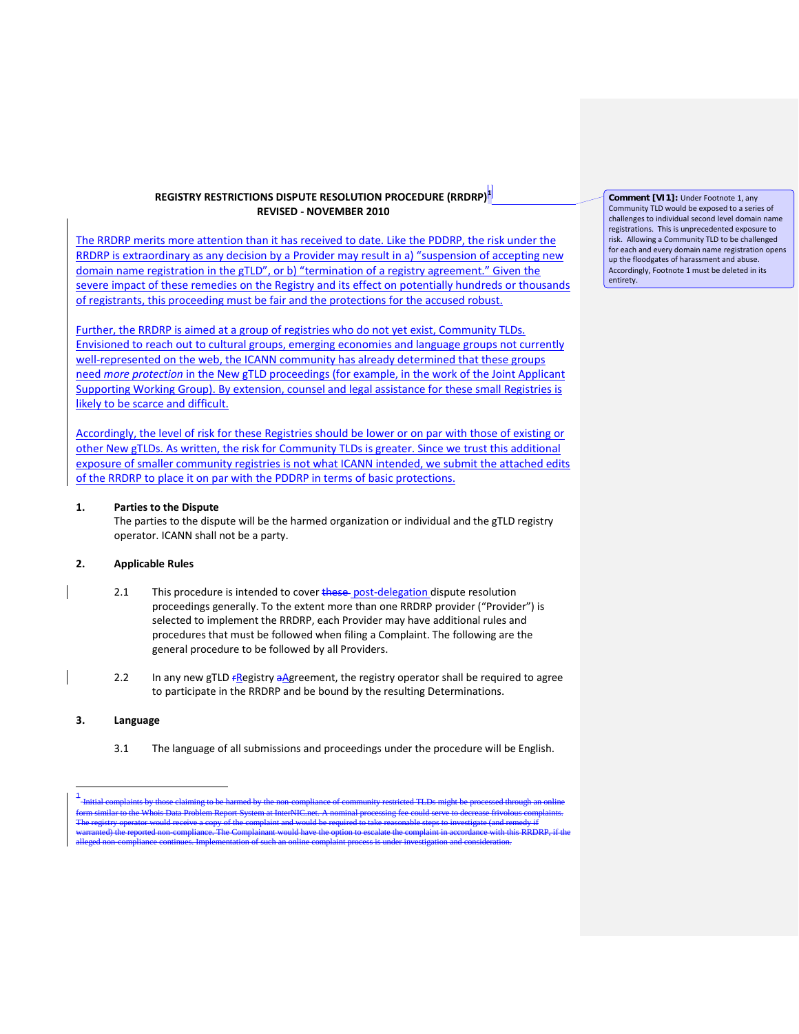# **REGISTRY RESTRICTIONS DISPUTE RESOLUTION PROCEDURE (RRDRP)[1](#page-0-0) REVISED - NOVEMBER 2010**

The RRDRP merits more attention than it has received to date. Like the PDDRP, the risk under the RRDRP is extraordinary as any decision by a Provider may result in a) "suspension of accepting new domain name registration in the gTLD", or b) "termination of a registry agreement." Given the severe impact of these remedies on the Registry and its effect on potentially hundreds or thousands of registrants, this proceeding must be fair and the protections for the accused robust.

Further, the RRDRP is aimed at a group of registries who do not yet exist, Community TLDs. Envisioned to reach out to cultural groups, emerging economies and language groups not currently well-represented on the web, the ICANN community has already determined that these groups need *more protection* in the New gTLD proceedings (for example, in the work of the Joint Applicant Supporting Working Group). By extension, counsel and legal assistance for these small Registries is likely to be scarce and difficult.

Accordingly, the level of risk for these Registries should be lower or on par with those of existing or other New gTLDs. As written, the risk for Community TLDs is greater. Since we trust this additional exposure of smaller community registries is not what ICANN intended, we submit the attached edits of the RRDRP to place it on par with the PDDRP in terms of basic protections.

#### **1. Parties to the Dispute**

The parties to the dispute will be the harmed organization or individual and the gTLD registry operator. ICANN shall not be a party.

# **2. Applicable Rules**

- 2.1 This procedure is intended to cover these post-delegation dispute resolution proceedings generally. To the extent more than one RRDRP provider ("Provider") is selected to implement the RRDRP, each Provider may have additional rules and procedures that must be followed when filing a Complaint. The following are the general procedure to be followed by all Providers.
- 2.2 In any new gTLD *FRegistry aAgreement*, the registry operator shall be required to agree to participate in the RRDRP and be bound by the resulting Determinations.

#### **3. Language**

3.1 The language of all submissions and proceedings under the procedure will be English.

**Comment [VI1]:** Under Footnote 1, any Community TLD would be exposed to a series of challenges to individual second level domain name registrations. This is unprecedented exposure to risk. Allowing a Community TLD to be challenged for each and every domain name registration opens up the floodgates of harassment and abuse. Accordingly, Footnote 1 must be deleted in its entirety.

<span id="page-0-0"></span><sup>&</sup>lt;sub>1</sub><br>1 -Initial complaints by those claiming to be harmed by the non-compliance of community restricted TLDs might be processed through an online form similar to the Whois Data Problem Report System at InterNIC.net. A nominal processing fee could serve to decrease frivolous complaints. The registry operator would receive a copy of the complaint and would be required to take reasonable steps to investigate (and remedy if warranted) the reported non-compliance. The Complainant would have the option to escalate the complaint in accordance with this RRDRP, if the alleged non-compliance continues. Implementation of such an online complaint process is under investigation and consideration.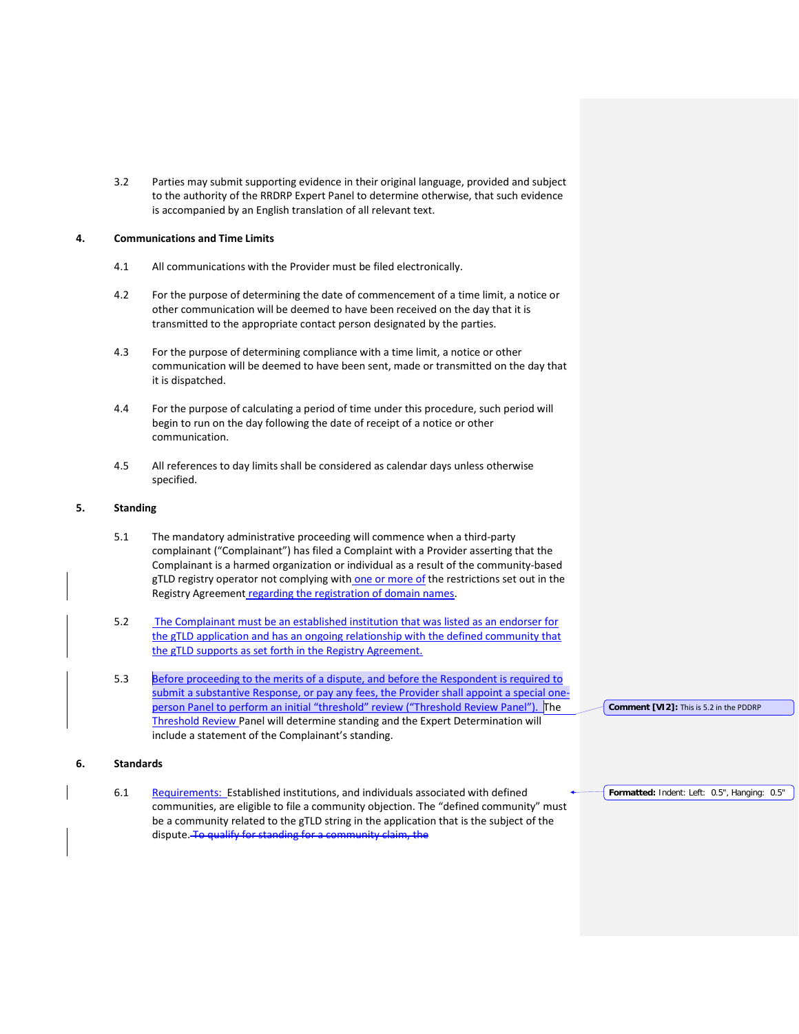3.2 Parties may submit supporting evidence in their original language, provided and subject to the authority of the RRDRP Expert Panel to determine otherwise, that such evidence is accompanied by an English translation of all relevant text.

# **4. Communications and Time Limits**

- 4.1 All communications with the Provider must be filed electronically.
- 4.2 For the purpose of determining the date of commencement of a time limit, a notice or other communication will be deemed to have been received on the day that it is transmitted to the appropriate contact person designated by the parties.
- 4.3 For the purpose of determining compliance with a time limit, a notice or other communication will be deemed to have been sent, made or transmitted on the day that it is dispatched.
- 4.4 For the purpose of calculating a period of time under this procedure, such period will begin to run on the day following the date of receipt of a notice or other communication.
- 4.5 All references to day limits shall be considered as calendar days unless otherwise specified.

# **5. Standing**

- 5.1 The mandatory administrative proceeding will commence when a third-party complainant ("Complainant") has filed a Complaint with a Provider asserting that the Complainant is a harmed organization or individual as a result of the community-based gTLD registry operator not complying with one or more of the restrictions set out in the Registry Agreement regarding the registration of domain names.
- 5.2 The Complainant must be an established institution that was listed as an endorser for the gTLD application and has an ongoing relationship with the defined community that the gTLD supports as set forth in the Registry Agreement.
- 5.3 Before proceeding to the merits of a dispute, and before the Respondent is required to submit a substantive Response, or pay any fees, the Provider shall appoint a special oneperson Panel to perform an initial "threshold" review ("Threshold Review Panel"). The Threshold Review Panel will determine standing and the Expert Determination will include a statement of the Complainant's standing.

#### **6. Standards**

6.1 Requirements: Established institutions, and individuals associated with defined communities, are eligible to file a community objection. The "defined community" must be a community related to the gTLD string in the application that is the subject of the dispute. To qualify for standing for a community claim, the

**Comment [VI2]:** This is 5.2 in the PDDRP

**Formatted:** Indent: Left: 0.5", Hanging: 0.5"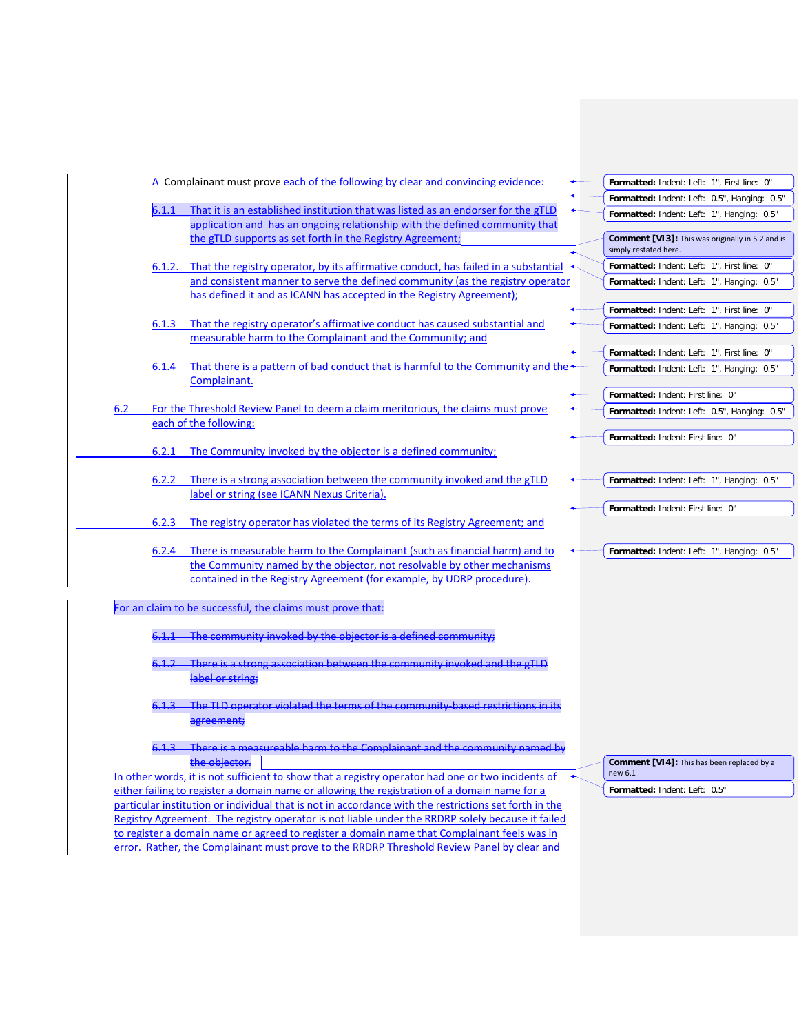|                                                                                                  |                                                                                                       | A Complainant must prove each of the following by clear and convincing evidence:                                                         |                                                                                             |  |  |  |
|--------------------------------------------------------------------------------------------------|-------------------------------------------------------------------------------------------------------|------------------------------------------------------------------------------------------------------------------------------------------|---------------------------------------------------------------------------------------------|--|--|--|
|                                                                                                  |                                                                                                       |                                                                                                                                          | Formatted: Indent: Left: 1", First line: 0"<br>Formatted: Indent: Left: 0.5", Hanging: 0.5" |  |  |  |
|                                                                                                  | 6.1.1                                                                                                 | That it is an established institution that was listed as an endorser for the gTLD                                                        | Formatted: Indent: Left: 1", Hanging: 0.5"                                                  |  |  |  |
|                                                                                                  |                                                                                                       | application and has an ongoing relationship with the defined community that                                                              |                                                                                             |  |  |  |
|                                                                                                  |                                                                                                       | the gTLD supports as set forth in the Registry Agreement;                                                                                | Comment [VI3]: This was originally in 5.2 and is<br>simply restated here.                   |  |  |  |
|                                                                                                  | 6.1.2.                                                                                                | That the registry operator, by its affirmative conduct, has failed in a substantial                                                      | Formatted: Indent: Left: 1", First line: 0"                                                 |  |  |  |
|                                                                                                  |                                                                                                       | and consistent manner to serve the defined community (as the registry operator                                                           | Formatted: Indent: Left: 1", Hanging: 0.5"                                                  |  |  |  |
|                                                                                                  |                                                                                                       | has defined it and as ICANN has accepted in the Registry Agreement);                                                                     |                                                                                             |  |  |  |
|                                                                                                  |                                                                                                       |                                                                                                                                          | Formatted: Indent: Left: 1", First line: 0"                                                 |  |  |  |
|                                                                                                  | 6.1.3                                                                                                 | That the registry operator's affirmative conduct has caused substantial and<br>measurable harm to the Complainant and the Community; and | Formatted: Indent: Left: 1", Hanging: 0.5"                                                  |  |  |  |
|                                                                                                  |                                                                                                       |                                                                                                                                          | Formatted: Indent: Left: 1", First line: 0"                                                 |  |  |  |
|                                                                                                  | 6.1.4                                                                                                 | That there is a pattern of bad conduct that is harmful to the Community and the $\rightarrow$                                            | Formatted: Indent: Left: 1", Hanging: 0.5"                                                  |  |  |  |
|                                                                                                  |                                                                                                       | Complainant.                                                                                                                             |                                                                                             |  |  |  |
|                                                                                                  |                                                                                                       |                                                                                                                                          | Formatted: Indent: First line: 0"                                                           |  |  |  |
| 6.2                                                                                              |                                                                                                       | For the Threshold Review Panel to deem a claim meritorious, the claims must prove                                                        | Formatted: Indent: Left: 0.5", Hanging: 0.5"                                                |  |  |  |
|                                                                                                  |                                                                                                       | each of the following:                                                                                                                   |                                                                                             |  |  |  |
|                                                                                                  |                                                                                                       |                                                                                                                                          | Formatted: Indent: First line: 0"                                                           |  |  |  |
|                                                                                                  | 6.2.1                                                                                                 | The Community invoked by the objector is a defined community;                                                                            |                                                                                             |  |  |  |
|                                                                                                  | 6.2.2                                                                                                 | There is a strong association between the community invoked and the gTLD                                                                 |                                                                                             |  |  |  |
|                                                                                                  |                                                                                                       | label or string (see ICANN Nexus Criteria).                                                                                              | Formatted: Indent: Left: 1", Hanging: 0.5"                                                  |  |  |  |
|                                                                                                  |                                                                                                       |                                                                                                                                          | Formatted: Indent: First line: 0"                                                           |  |  |  |
|                                                                                                  | 6.2.3                                                                                                 | The registry operator has violated the terms of its Registry Agreement; and                                                              |                                                                                             |  |  |  |
|                                                                                                  |                                                                                                       |                                                                                                                                          |                                                                                             |  |  |  |
|                                                                                                  | 6.2.4                                                                                                 | There is measurable harm to the Complainant (such as financial harm) and to                                                              | Formatted: Indent: Left: 1", Hanging: 0.5"                                                  |  |  |  |
|                                                                                                  |                                                                                                       | the Community named by the objector, not resolvable by other mechanisms                                                                  |                                                                                             |  |  |  |
|                                                                                                  |                                                                                                       | contained in the Registry Agreement (for example, by UDRP procedure).                                                                    |                                                                                             |  |  |  |
|                                                                                                  |                                                                                                       | For an claim to be successful, the claims must prove that:                                                                               |                                                                                             |  |  |  |
|                                                                                                  | 6.1.1                                                                                                 | The community invoked by the objector is a defined community;                                                                            |                                                                                             |  |  |  |
|                                                                                                  |                                                                                                       |                                                                                                                                          |                                                                                             |  |  |  |
|                                                                                                  | 6.1.2                                                                                                 | There is a strong association between the community invoked and the gTLD                                                                 |                                                                                             |  |  |  |
|                                                                                                  |                                                                                                       | label or string;                                                                                                                         |                                                                                             |  |  |  |
|                                                                                                  | 6.1.3                                                                                                 | The TLD operator violated the terms of the community-based restrictions in its                                                           |                                                                                             |  |  |  |
|                                                                                                  |                                                                                                       | agreement;                                                                                                                               |                                                                                             |  |  |  |
|                                                                                                  |                                                                                                       |                                                                                                                                          |                                                                                             |  |  |  |
|                                                                                                  | $-12$                                                                                                 | There is a measureable harm to the Complainant and the community named by                                                                |                                                                                             |  |  |  |
|                                                                                                  |                                                                                                       | the objector.<br>In other words, it is not sufficient to show that a registry operator had one or two incidents of                       | Comment [VI4]: This has been replaced by a<br>new 6.1                                       |  |  |  |
|                                                                                                  |                                                                                                       | either failing to register a domain name or allowing the registration of a domain name for a                                             | Formatted: Indent: Left: 0.5"                                                               |  |  |  |
|                                                                                                  | particular institution or individual that is not in accordance with the restrictions set forth in the |                                                                                                                                          |                                                                                             |  |  |  |
| Registry Agreement. The registry operator is not liable under the RRDRP solely because it failed |                                                                                                       |                                                                                                                                          |                                                                                             |  |  |  |
|                                                                                                  | to register a domain name or agreed to register a domain name that Complainant feels was in           |                                                                                                                                          |                                                                                             |  |  |  |
|                                                                                                  |                                                                                                       | error. Rather, the Complainant must prove to the RRDRP Threshold Review Panel by clear and                                               |                                                                                             |  |  |  |
|                                                                                                  |                                                                                                       |                                                                                                                                          |                                                                                             |  |  |  |

 $\overline{\phantom{0}}$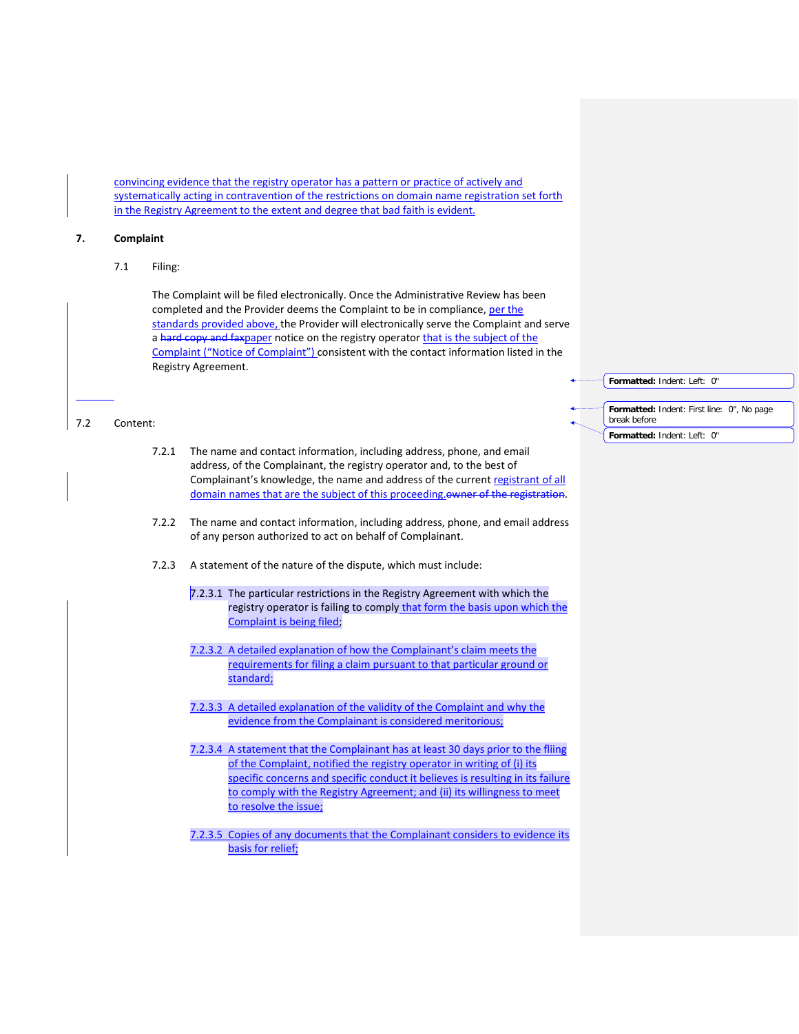convincing evidence that the registry operator has a pattern or practice of actively and systematically acting in contravention of the restrictions on domain name registration set forth in the Registry Agreement to the extent and degree that bad faith is evident.

# **7. Complaint**

7.1 Filing:

The Complaint will be filed electronically. Once the Administrative Review has been completed and the Provider deems the Complaint to be in compliance, per the standards provided above, the Provider will electronically serve the Complaint and serve a hard copy and faxpaper notice on the registry operator that is the subject of the Complaint ("Notice of Complaint") consistent with the contact information listed in the Registry Agreement.

# 7.2 Content:

- 7.2.1 The name and contact information, including address, phone, and email address, of the Complainant, the registry operator and, to the best of Complainant's knowledge, the name and address of the current registrant of all domain names that are the subject of this proceeding.owner of the registration.
- 7.2.2 The name and contact information, including address, phone, and email address of any person authorized to act on behalf of Complainant.
- 7.2.3 A statement of the nature of the dispute, which must include:
	- 7.2.3.1 The particular restrictions in the Registry Agreement with which the registry operator is failing to comply that form the basis upon which the Complaint is being filed;
	- 7.2.3.2 A detailed explanation of how the Complainant's claim meets the requirements for filing a claim pursuant to that particular ground or standard;
	- 7.2.3.3 A detailed explanation of the validity of the Complaint and why the evidence from the Complainant is considered meritorious;
	- 7.2.3.4 A statement that the Complainant has at least 30 days prior to the fliing of the Complaint, notified the registry operator in writing of (i) its specific concerns and specific conduct it believes is resulting in its failure to comply with the Registry Agreement; and (ii) its willingness to meet to resolve the issue;
	- 7.2.3.5 Copies of any documents that the Complainant considers to evidence its basis for relief;

#### **Formatted:** Indent: Left: 0"

**Formatted:** Indent: First line: 0", No page break before **Formatted:** Indent: Left: 0"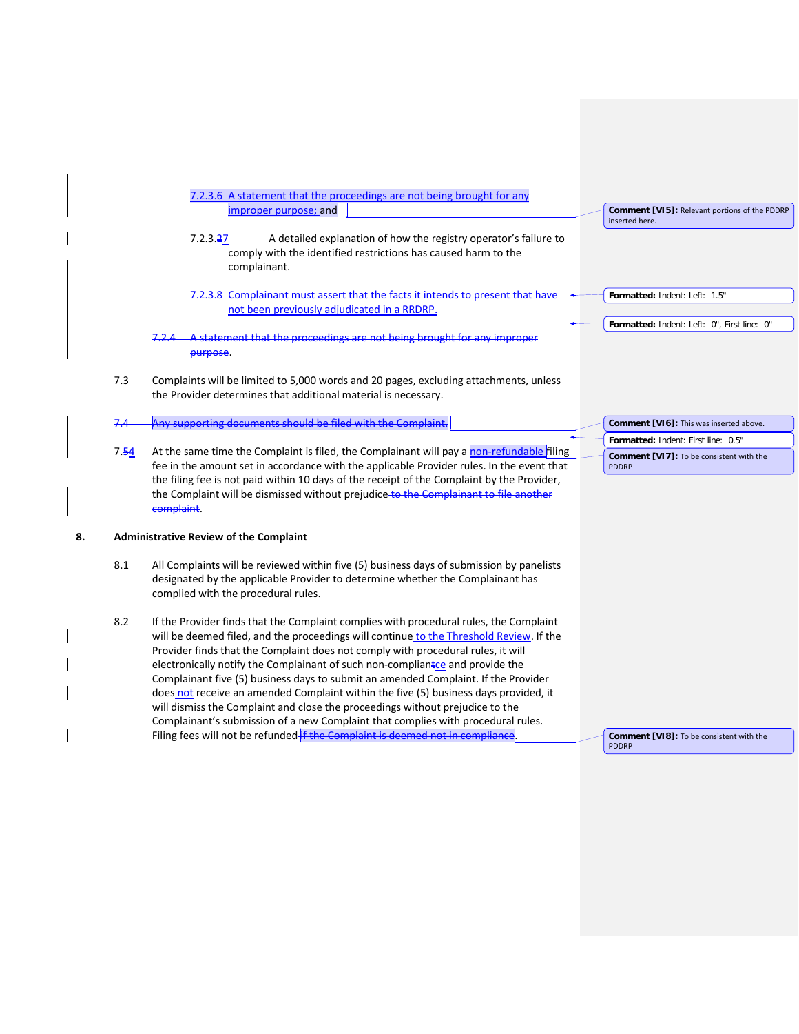

**Comment [VI8]:** To be consistent with the PDDRP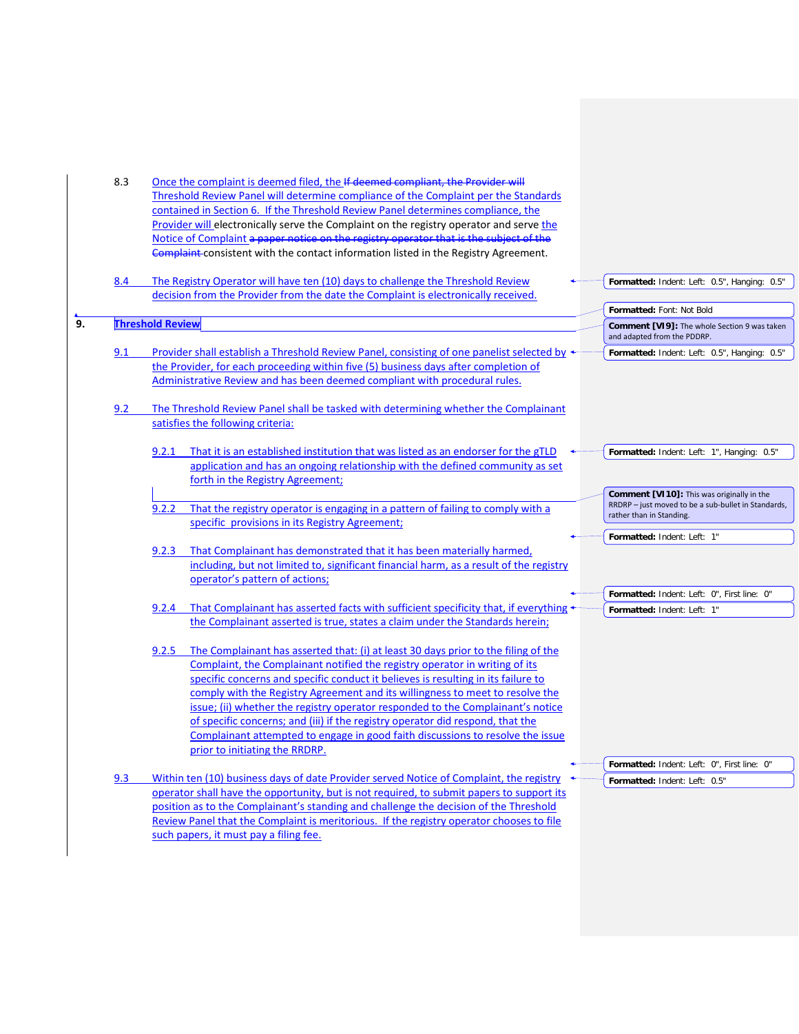| 8.3 | Once the complaint is deemed filed, the If deemed compliant, the Provider will                            |                                                                                                   |
|-----|-----------------------------------------------------------------------------------------------------------|---------------------------------------------------------------------------------------------------|
|     | Threshold Review Panel will determine compliance of the Complaint per the Standards                       |                                                                                                   |
|     | contained in Section 6. If the Threshold Review Panel determines compliance, the                          |                                                                                                   |
|     | Provider will electronically serve the Complaint on the registry operator and serve the                   |                                                                                                   |
|     | Notice of Complaint a paper notice on the registry operator that is the subject of the                    |                                                                                                   |
|     | Complaint consistent with the contact information listed in the Registry Agreement.                       |                                                                                                   |
| 8.4 | The Registry Operator will have ten (10) days to challenge the Threshold Review                           | Formatted: Indent: Left: 0.5", Hanging: 0.5"                                                      |
|     | decision from the Provider from the date the Complaint is electronically received.                        |                                                                                                   |
|     |                                                                                                           | Formatted: Font: Not Bold                                                                         |
|     | <b>Threshold Review</b>                                                                                   | Comment [VI9]: The whole Section 9 was taken<br>and adapted from the PDDRP.                       |
| 9.1 | Provider shall establish a Threshold Review Panel, consisting of one panelist selected by $\triangleleft$ | Formatted: Indent: Left: 0.5", Hanging: 0.5"                                                      |
|     | the Provider, for each proceeding within five (5) business days after completion of                       |                                                                                                   |
|     | Administrative Review and has been deemed compliant with procedural rules.                                |                                                                                                   |
| 9.2 | The Threshold Review Panel shall be tasked with determining whether the Complainant                       |                                                                                                   |
|     | satisfies the following criteria:                                                                         |                                                                                                   |
|     | That it is an established institution that was listed as an endorser for the gTLD<br>9.2.1                | Formatted: Indent: Left: 1", Hanging: 0.5"                                                        |
|     | application and has an ongoing relationship with the defined community as set                             |                                                                                                   |
|     | forth in the Registry Agreement;                                                                          |                                                                                                   |
|     |                                                                                                           | Comment [VI10]: This was originally in the<br>RRDRP - just moved to be a sub-bullet in Standards, |
|     | 9.2.2<br>That the registry operator is engaging in a pattern of failing to comply with a                  | rather than in Standing.                                                                          |
|     | specific provisions in its Registry Agreement;                                                            | Formatted: Indent: Left: 1"                                                                       |
|     | That Complainant has demonstrated that it has been materially harmed,<br>9.2.3                            |                                                                                                   |
|     | including, but not limited to, significant financial harm, as a result of the registry                    |                                                                                                   |
|     | operator's pattern of actions;                                                                            |                                                                                                   |
|     |                                                                                                           | Formatted: Indent: Left: 0", First line: 0"                                                       |
|     | That Complainant has asserted facts with sufficient specificity that, if everything<br>9.2.4              | Formatted: Indent: Left: 1"                                                                       |
|     | the Complainant asserted is true, states a claim under the Standards herein;                              |                                                                                                   |
|     | The Complainant has asserted that: (i) at least 30 days prior to the filing of the<br>9.2.5               |                                                                                                   |
|     | Complaint, the Complainant notified the registry operator in writing of its                               |                                                                                                   |
|     | specific concerns and specific conduct it believes is resulting in its failure to                         |                                                                                                   |
|     | comply with the Registry Agreement and its willingness to meet to resolve the                             |                                                                                                   |
|     | issue; (ii) whether the registry operator responded to the Complainant's notice                           |                                                                                                   |
|     | of specific concerns; and (iii) if the registry operator did respond, that the                            |                                                                                                   |
|     | Complainant attempted to engage in good faith discussions to resolve the issue                            |                                                                                                   |
|     | prior to initiating the RRDRP.                                                                            |                                                                                                   |
|     |                                                                                                           | Formatted: Indent: Left: 0", First line: 0"                                                       |
| 9.3 | Within ten (10) business days of date Provider served Notice of Complaint, the registry                   | Formatted: Indent: Left: 0.5"                                                                     |
|     | operator shall have the opportunity, but is not required, to submit papers to support its                 |                                                                                                   |
|     | position as to the Complainant's standing and challenge the decision of the Threshold                     |                                                                                                   |
|     | Review Panel that the Complaint is meritorious. If the registry operator chooses to file                  |                                                                                                   |
|     | such papers, it must pay a filing fee.                                                                    |                                                                                                   |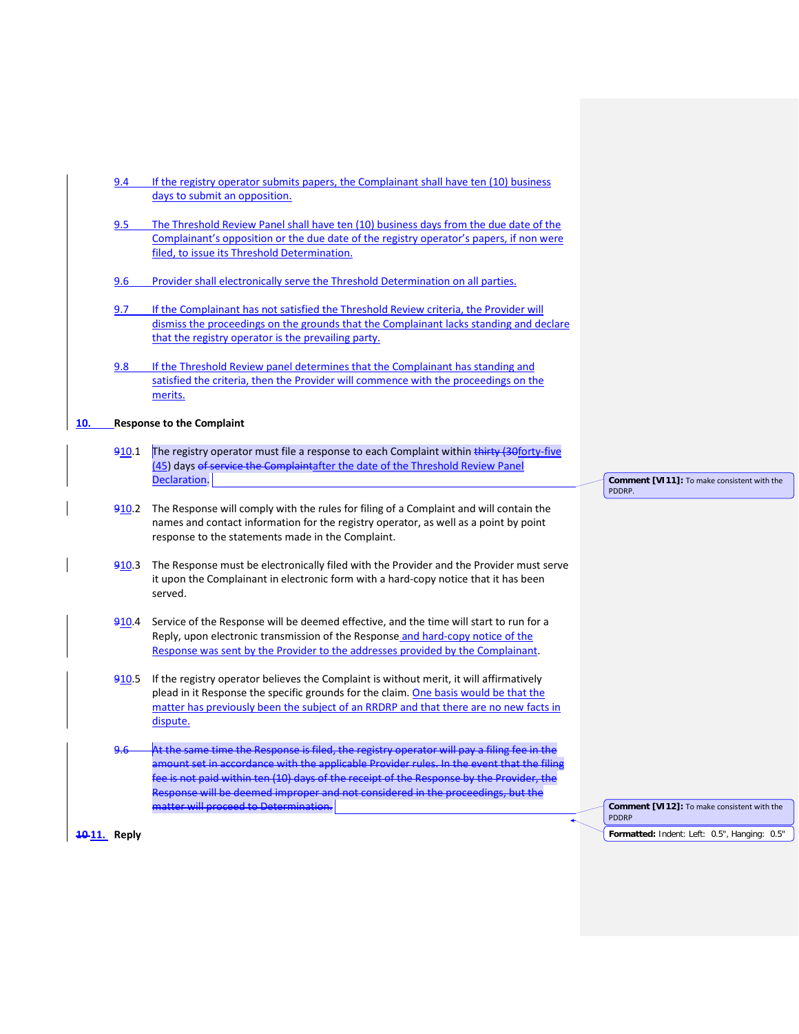- 9.4 If the registry operator submits papers, the Complainant shall have ten (10) business days to submit an opposition.
- 9.5 The Threshold Review Panel shall have ten (10) business days from the due date of the Complainant's opposition or the due date of the registry operator's papers, if non were filed, to issue its Threshold Determination.
- 9.6 Provider shall electronically serve the Threshold Determination on all parties.
- 9.7 If the Complainant has not satisfied the Threshold Review criteria, the Provider will dismiss the proceedings on the grounds that the Complainant lacks standing and declare that the registry operator is the prevailing party.
- 9.8 If the Threshold Review panel determines that the Complainant has standing and satisfied the criteria, then the Provider will commence with the proceedings on the merits.

#### **10. Response to the Complaint**

- 910.1 The registry operator must file a response to each Complaint within thirty (30forty-five (45) days of service the Complaintafter the date of the Threshold Review Panel Declaration.
- 910.2 The Response will comply with the rules for filing of a Complaint and will contain the names and contact information for the registry operator, as well as a point by point response to the statements made in the Complaint.
- 910.3 The Response must be electronically filed with the Provider and the Provider must serve it upon the Complainant in electronic form with a hard-copy notice that it has been served.
- 910.4 Service of the Response will be deemed effective, and the time will start to run for a Reply, upon electronic transmission of the Response and hard-copy notice of the Response was sent by the Provider to the addresses provided by the Complainant.
- 910.5 If the registry operator believes the Complaint is without merit, it will affirmatively plead in it Response the specific grounds for the claim. One basis would be that the matter has previously been the subject of an RRDRP and that there are no new facts in dispute.
- At the same time the Response is filed, the registry operator will pay a filing fee in the .<br>amount set in accordance with the applicable Provider rules. In the event that the filing fee is not paid within ten (10) days of the receipt of the Response by the Provider, the Response will be deemed improper and not considered in the proceedings, but the  $m$ atter will proceed to Determination.  $\overline{\phantom{a}}$

**Comment [VI11]:** To make consistent with the PDDRP.

**Comment [VI12]:** To make consistent with the PDDRP **Formatted:** Indent: Left: 0.5", Hanging: 0.5"

**10 11. Reply**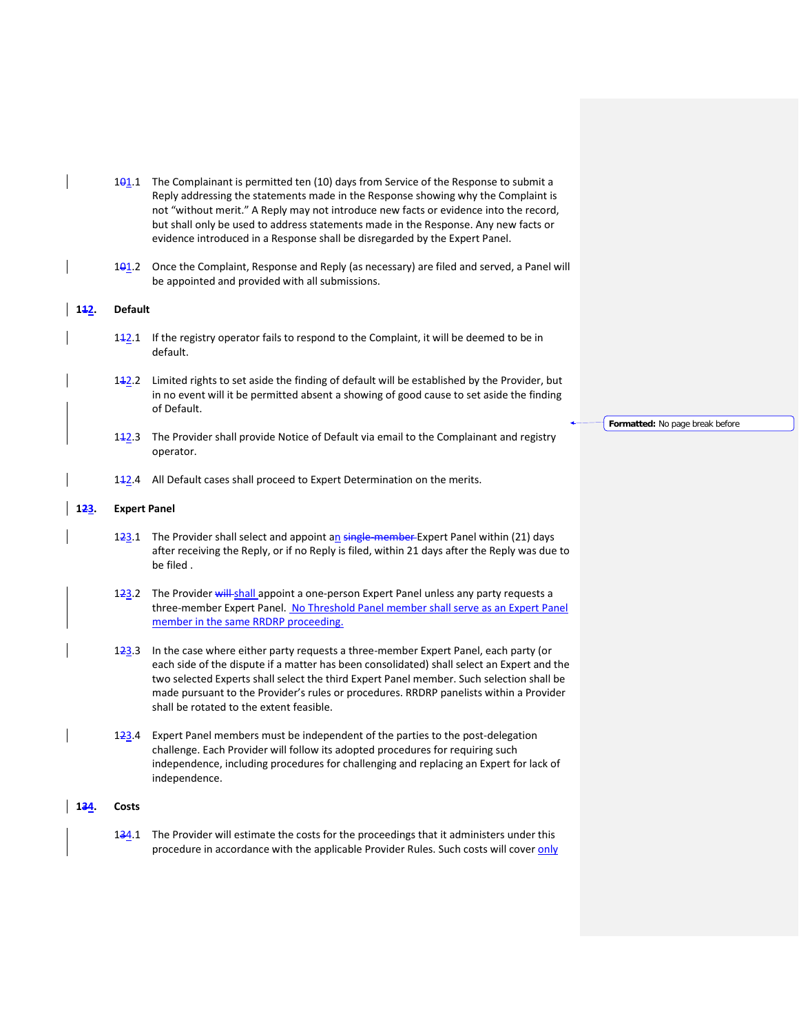- 101.1 The Complainant is permitted ten (10) days from Service of the Response to submit a Reply addressing the statements made in the Response showing why the Complaint is not "without merit." A Reply may not introduce new facts or evidence into the record, but shall only be used to address statements made in the Response. Any new facts or evidence introduced in a Response shall be disregarded by the Expert Panel.
- 101.2 Once the Complaint, Response and Reply (as necessary) are filed and served, a Panel will be appointed and provided with all submissions.

## **112. Default**

- 142.1 If the registry operator fails to respond to the Complaint, it will be deemed to be in default.
- 142.2 Limited rights to set aside the finding of default will be established by the Provider, but in no event will it be permitted absent a showing of good cause to set aside the finding of Default.
- 142.3 The Provider shall provide Notice of Default via email to the Complainant and registry operator.
- 142.4 All Default cases shall proceed to Expert Determination on the merits.

# **123. Expert Panel**

- 123.1 The Provider shall select and appoint an single-member-Expert Panel within (21) days after receiving the Reply, or if no Reply is filed, within 21 days after the Reply was due to be filed .
- 123.2 The Provider will-shall appoint a one-person Expert Panel unless any party requests a three-member Expert Panel. No Threshold Panel member shall serve as an Expert Panel member in the same RRDRP proceeding.
- 123.3 In the case where either party requests a three-member Expert Panel, each party (or each side of the dispute if a matter has been consolidated) shall select an Expert and the two selected Experts shall select the third Expert Panel member. Such selection shall be made pursuant to the Provider's rules or procedures. RRDRP panelists within a Provider shall be rotated to the extent feasible.
- 123.4 Expert Panel members must be independent of the parties to the post-delegation challenge. Each Provider will follow its adopted procedures for requiring such independence, including procedures for challenging and replacing an Expert for lack of independence.

# **134. Costs**

134.1 The Provider will estimate the costs for the proceedings that it administers under this procedure in accordance with the applicable Provider Rules. Such costs will cover only **Formatted:** No page break before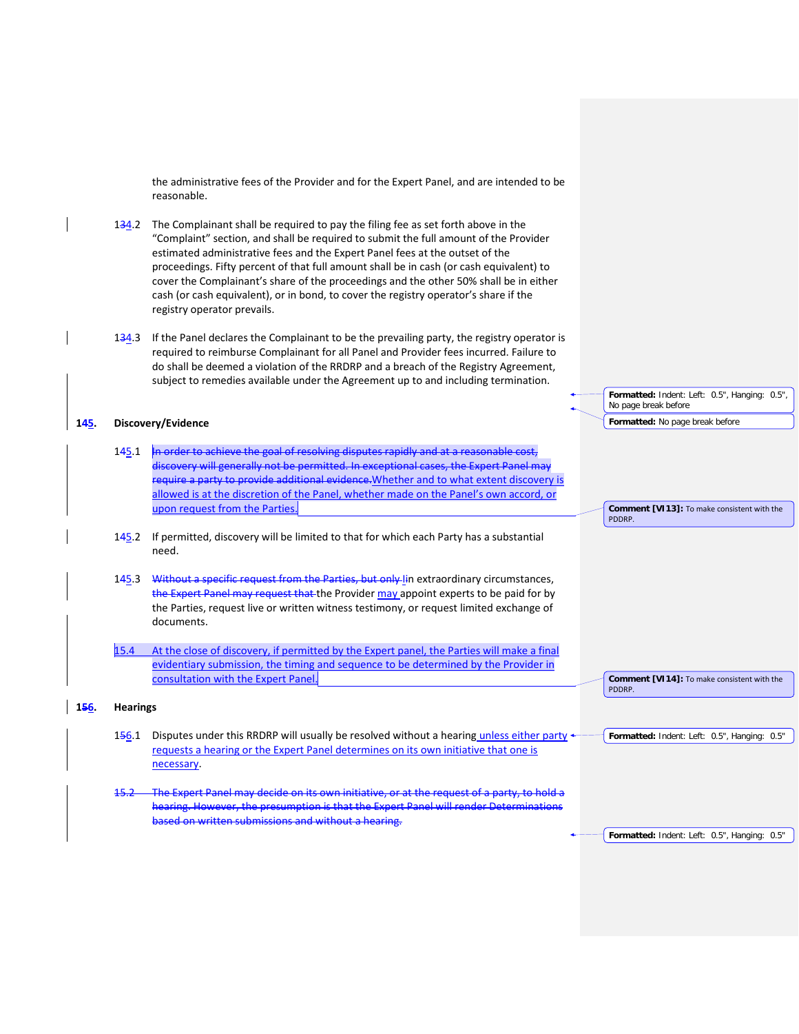the administrative fees of the Provider and for the Expert Panel, and are intended to be reasonable.

- 134.2 The Complainant shall be required to pay the filing fee as set forth above in the "Complaint" section, and shall be required to submit the full amount of the Provider estimated administrative fees and the Expert Panel fees at the outset of the proceedings. Fifty percent of that full amount shall be in cash (or cash equivalent) to cover the Complainant's share of the proceedings and the other 50% shall be in either cash (or cash equivalent), or in bond, to cover the registry operator's share if the registry operator prevails.
- 134.3 If the Panel declares the Complainant to be the prevailing party, the registry operator is required to reimburse Complainant for all Panel and Provider fees incurred. Failure to do shall be deemed a violation of the RRDRP and a breach of the Registry Agreement, subject to remedies available under the Agreement up to and including termination.

# **145. Discovery/Evidence**

- 145.1 In order to achieve the goal of resolving disputes rapidly and at a reasonable cost, discovery will generally not be permitted. In exceptional cases, the Expert Panel may require a party to provide additional evidence. Whether and to what extent discovery is allowed is at the discretion of the Panel, whether made on the Panel's own accord, or upon request from the Parties.
- 145.2 If permitted, discovery will be limited to that for which each Party has a substantial need.
- 145.3 Without a specific request from the Parties, but only lin extraordinary circumstances, the Expert Panel may request that the Provider may appoint experts to be paid for by the Parties, request live or written witness testimony, or request limited exchange of documents.
- 15.4 At the close of discovery, if permitted by the Expert panel, the Parties will make a final evidentiary submission, the timing and sequence to be determined by the Provider in consultation with the Expert Panel.

#### **156. Hearings**

- 156.1 Disputes under this RRDRP will usually be resolved without a hearing unless either party  $\leftarrow$ requests a hearing or the Expert Panel determines on its own initiative that one is necessary.
- 15.2 The Expert Panel may decide on its own initiative, or at the request of a party, to hold a hearing. However, the presumption is that the Expert Panel will render Determinations based on written submissions and without a hearing.



**Comment [VI13]:** To make consistent with the PDDRP.

**Comment [VI14]:** To make consistent with the PDDRP.

**Formatted:** Indent: Left: 0.5", Hanging: 0.5"

**Formatted:** Indent: Left: 0.5", Hanging: 0.5"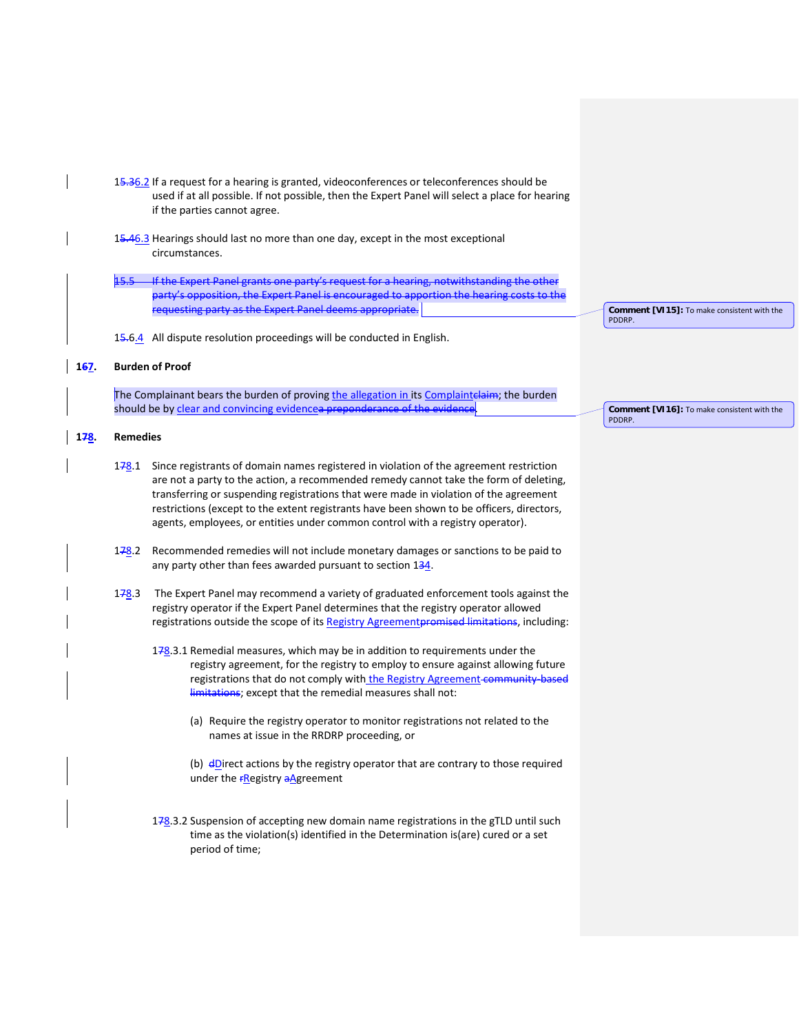- 15.36.2 If a request for a hearing is granted, videoconferences or teleconferences should be used if at all possible. If not possible, then the Expert Panel will select a place for hearing if the parties cannot agree.
- 15.46.3 Hearings should last no more than one day, except in the most exceptional circumstances.
- If the Expert Panel grants one party's request for a hearing, notwithstanding the other party's opposition, the Expert Panel is encouraged to apportion the hearing costs to the requesting party as the Expert Panel deems appropriate.
- 15.6.4 All dispute resolution proceedings will be conducted in English.

# **167. Burden of Proof**

The Complainant bears the burden of proving the allegation in its Complaintelaim; the burden should be by clear and convincing evidencea preponderance of the evidence

### **178. Remedies**

- 178.1 Since registrants of domain names registered in violation of the agreement restriction are not a party to the action, a recommended remedy cannot take the form of deleting, transferring or suspending registrations that were made in violation of the agreement restrictions (except to the extent registrants have been shown to be officers, directors, agents, employees, or entities under common control with a registry operator).
- 178.2 Recommended remedies will not include monetary damages or sanctions to be paid to any party other than fees awarded pursuant to section 134.
- 178.3 The Expert Panel may recommend a variety of graduated enforcement tools against the registry operator if the Expert Panel determines that the registry operator allowed registrations outside the scope of its Registry Agreementpromised limitations, including:
	- $1\frac{78}{3}$ .1 Remedial measures, which may be in addition to requirements under the registry agreement, for the registry to employ to ensure against allowing future registrations that do not comply with the Registry Agreement community-based limitations; except that the remedial measures shall not:
		- (a) Require the registry operator to monitor registrations not related to the names at issue in the RRDRP proceeding, or
		- (b)  $\frac{dD}{dx}$  actions by the registry operator that are contrary to those required under the *Registry aAgreement*
	- 178.3.2 Suspension of accepting new domain name registrations in the gTLD until such time as the violation(s) identified in the Determination is(are) cured or a set period of time;

**Comment [VI15]:** To make consistent with the PDDRP.

**Comment [VI16]:** To make consistent with the PDDRP.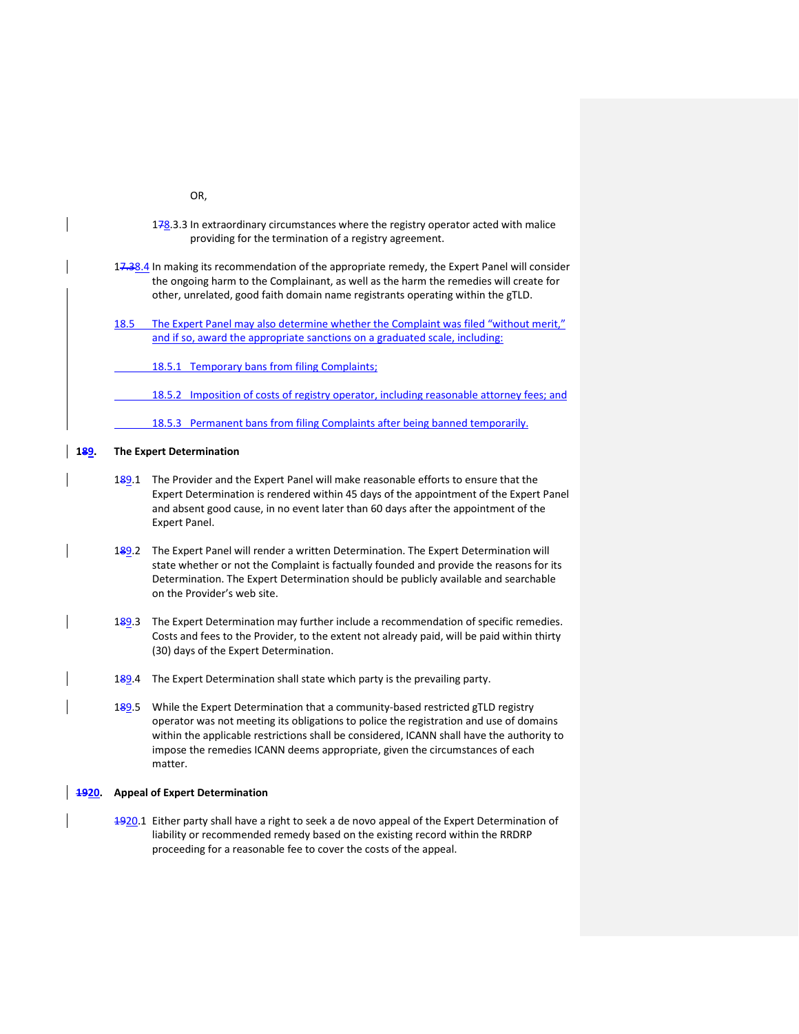OR,

- 178.3.3 In extraordinary circumstances where the registry operator acted with malice providing for the termination of a registry agreement.
- 17.38.4 In making its recommendation of the appropriate remedy, the Expert Panel will consider the ongoing harm to the Complainant, as well as the harm the remedies will create for other, unrelated, good faith domain name registrants operating within the gTLD.
- 18.5 The Expert Panel may also determine whether the Complaint was filed "without merit," and if so, award the appropriate sanctions on a graduated scale, including:
- 18.5.1 Temporary bans from filing Complaints;
- 18.5.2 Imposition of costs of registry operator, including reasonable attorney fees; and
	- 18.5.3 Permanent bans from filing Complaints after being banned temporarily.

# **189. The Expert Determination**

- 189.1 The Provider and the Expert Panel will make reasonable efforts to ensure that the Expert Determination is rendered within 45 days of the appointment of the Expert Panel and absent good cause, in no event later than 60 days after the appointment of the Expert Panel.
- 189.2 The Expert Panel will render a written Determination. The Expert Determination will state whether or not the Complaint is factually founded and provide the reasons for its Determination. The Expert Determination should be publicly available and searchable on the Provider's web site.
- 189.3 The Expert Determination may further include a recommendation of specific remedies. Costs and fees to the Provider, to the extent not already paid, will be paid within thirty (30) days of the Expert Determination.
- 189.4 The Expert Determination shall state which party is the prevailing party.
- 189.5 While the Expert Determination that a community-based restricted gTLD registry operator was not meeting its obligations to police the registration and use of domains within the applicable restrictions shall be considered, ICANN shall have the authority to impose the remedies ICANN deems appropriate, given the circumstances of each matter.

#### **1920. Appeal of Expert Determination**

1920.1 Either party shall have a right to seek a de novo appeal of the Expert Determination of liability or recommended remedy based on the existing record within the RRDRP proceeding for a reasonable fee to cover the costs of the appeal.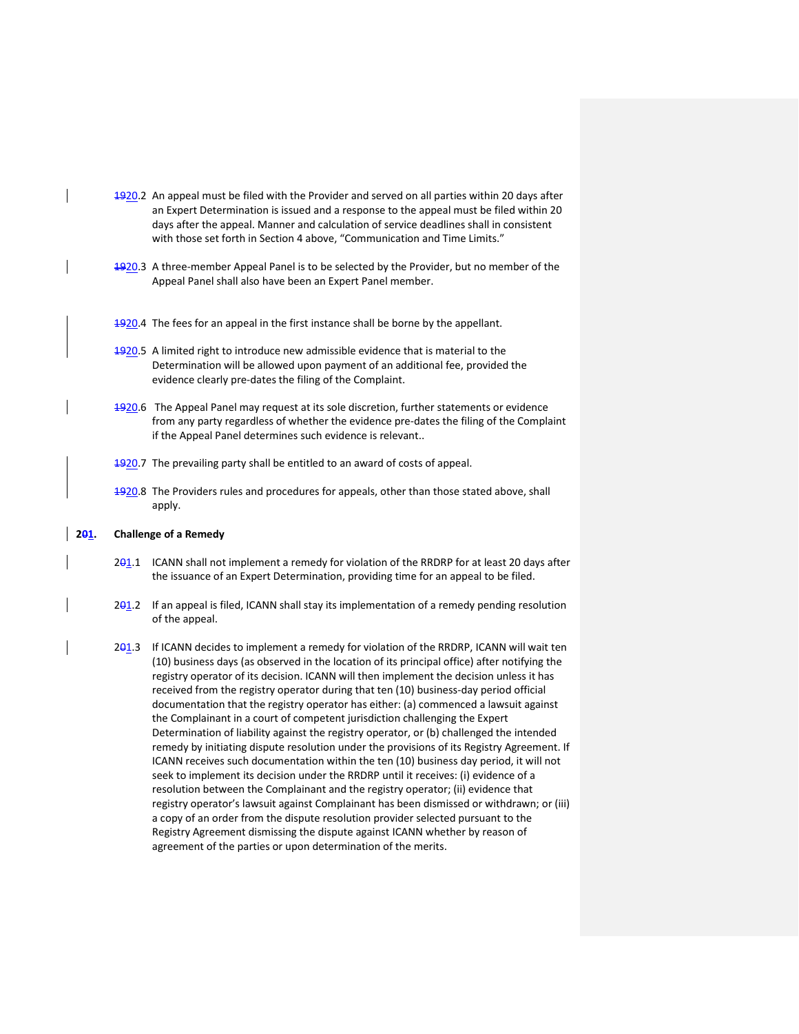- 1920.2 An appeal must be filed with the Provider and served on all parties within 20 days after an Expert Determination is issued and a response to the appeal must be filed within 20 days after the appeal. Manner and calculation of service deadlines shall in consistent with those set forth in Section 4 above, "Communication and Time Limits."
- 1920.3 A three-member Appeal Panel is to be selected by the Provider, but no member of the Appeal Panel shall also have been an Expert Panel member.
- 1920.4 The fees for an appeal in the first instance shall be borne by the appellant.
- 1920.5 A limited right to introduce new admissible evidence that is material to the Determination will be allowed upon payment of an additional fee, provided the evidence clearly pre-dates the filing of the Complaint.
- 1920.6 The Appeal Panel may request at its sole discretion, further statements or evidence from any party regardless of whether the evidence pre-dates the filing of the Complaint if the Appeal Panel determines such evidence is relevant..
- 1920.7 The prevailing party shall be entitled to an award of costs of appeal.
- 1920.8 The Providers rules and procedures for appeals, other than those stated above, shall apply.

#### **201. Challenge of a Remedy**

- 201.1 ICANN shall not implement a remedy for violation of the RRDRP for at least 20 days after the issuance of an Expert Determination, providing time for an appeal to be filed.
- 201.2 If an appeal is filed, ICANN shall stay its implementation of a remedy pending resolution of the appeal.
- 201.3 If ICANN decides to implement a remedy for violation of the RRDRP, ICANN will wait ten (10) business days (as observed in the location of its principal office) after notifying the registry operator of its decision. ICANN will then implement the decision unless it has received from the registry operator during that ten (10) business-day period official documentation that the registry operator has either: (a) commenced a lawsuit against the Complainant in a court of competent jurisdiction challenging the Expert Determination of liability against the registry operator, or (b) challenged the intended remedy by initiating dispute resolution under the provisions of its Registry Agreement. If ICANN receives such documentation within the ten (10) business day period, it will not seek to implement its decision under the RRDRP until it receives: (i) evidence of a resolution between the Complainant and the registry operator; (ii) evidence that registry operator's lawsuit against Complainant has been dismissed or withdrawn; or (iii) a copy of an order from the dispute resolution provider selected pursuant to the Registry Agreement dismissing the dispute against ICANN whether by reason of agreement of the parties or upon determination of the merits.